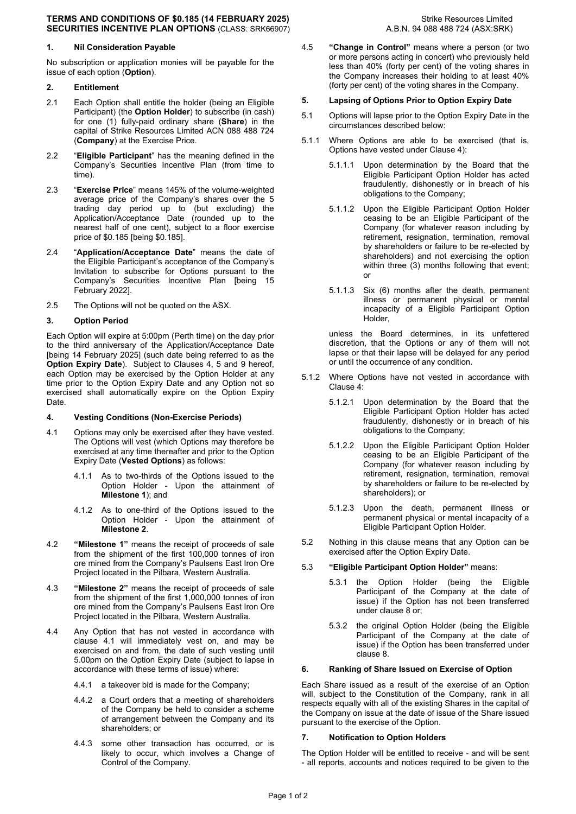#### **TERMS AND CONDITIONS OF \$0.185 (14 FEBRUARY 2025)** Strike Resources Limited **SECURITIES INCENTIVE PLAN OPTIONS** (CLASS: SRK66907) A.B.N. 94 088 488 724 (ASX:SRK)

# **1. Nil Consideration Payable**

No subscription or application monies will be payable for the issue of each option (**Option**).

# **2. Entitlement**

- 2.1 Each Option shall entitle the holder (being an Eligible Participant) (the **Option Holder**) to subscribe (in cash) for one (1) fully-paid ordinary share (**Share**) in the capital of Strike Resources Limited ACN 088 488 724 (**Company**) at the Exercise Price.
- 2.2 "**Eligible Participant**" has the meaning defined in the Company's Securities Incentive Plan (from time to time).
- 2.3 "**Exercise Price**" means 145% of the volume-weighted average price of the Company's shares over the 5 trading day period up to (but excluding) the Application/Acceptance Date (rounded up to the nearest half of one cent), subject to a floor exercise price of \$0.185 [being \$0.185].
- 2.4 "**Application/Acceptance Date**" means the date of the Eligible Participant's acceptance of the Company's Invitation to subscribe for Options pursuant to the Company's Securities Incentive Plan [being 15 February 2022].
- 2.5 The Options will not be quoted on the ASX.

# **3. Option Period**

Each Option will expire at 5:00pm (Perth time) on the day prior to the third anniversary of the Application/Acceptance Date [being 14 February 2025] (such date being referred to as the **Option Expiry Date**). Subject to Clauses 4, 5 and 9 hereof, each Option may be exercised by the Option Holder at any time prior to the Option Expiry Date and any Option not so exercised shall automatically expire on the Option Expiry Date.

### **4. Vesting Conditions (Non-Exercise Periods)**

- 4.1 Options may only be exercised after they have vested. The Options will vest (which Options may therefore be exercised at any time thereafter and prior to the Option Expiry Date (**Vested Options**) as follows:
	- 4.1.1 As to two-thirds of the Options issued to the Option Holder - Upon the attainment of **Milestone 1**); and
	- 4.1.2 As to one-third of the Options issued to the Option Holder - Upon the attainment of **Milestone 2**.
- 4.2 **"Milestone 1"** means the receipt of proceeds of sale from the shipment of the first 100,000 tonnes of iron ore mined from the Company's Paulsens East Iron Ore Project located in the Pilbara, Western Australia.
- 4.3 **"Milestone 2"** means the receipt of proceeds of sale from the shipment of the first 1,000,000 tonnes of iron ore mined from the Company's Paulsens East Iron Ore Project located in the Pilbara, Western Australia.
- 4.4 Any Option that has not vested in accordance with clause 4.1 will immediately vest on, and may be exercised on and from, the date of such vesting until 5.00pm on the Option Expiry Date (subject to lapse in accordance with these terms of issue) where:
	- 4.4.1 a takeover bid is made for the Company;
	- 4.4.2 a Court orders that a meeting of shareholders of the Company be held to consider a scheme of arrangement between the Company and its shareholders; or
	- 4.4.3 some other transaction has occurred, or is likely to occur, which involves a Change of Control of the Company.

4.5 **"Change in Control"** means where a person (or two or more persons acting in concert) who previously held less than 40% (forty per cent) of the voting shares in the Company increases their holding to at least 40% (forty per cent) of the voting shares in the Company.

### **5. Lapsing of Options Prior to Option Expiry Date**

- 5.1 Options will lapse prior to the Option Expiry Date in the circumstances described below:
- 5.1.1 Where Options are able to be exercised (that is, Options have vested under Clause 4):
	- 5.1.1.1 Upon determination by the Board that the Eligible Participant Option Holder has acted fraudulently, dishonestly or in breach of his obligations to the Company;
	- 5.1.1.2 Upon the Eligible Participant Option Holder ceasing to be an Eligible Participant of the Company (for whatever reason including by retirement, resignation, termination, removal by shareholders or failure to be re-elected by shareholders) and not exercising the option within three (3) months following that event; or
	- 5.1.1.3 Six (6) months after the death, permanent illness or permanent physical or mental incapacity of a Eligible Participant Option Holder,

unless the Board determines, in its unfettered discretion, that the Options or any of them will not lapse or that their lapse will be delayed for any period or until the occurrence of any condition.

- 5.1.2 Where Options have not vested in accordance with Clause 4:
	- 5.1.2.1 Upon determination by the Board that the Eligible Participant Option Holder has acted fraudulently, dishonestly or in breach of his obligations to the Company;
	- 5.1.2.2 Upon the Eligible Participant Option Holder ceasing to be an Eligible Participant of the Company (for whatever reason including by retirement, resignation, termination, removal by shareholders or failure to be re-elected by shareholders); or
	- 5.1.2.3 Upon the death, permanent illness or permanent physical or mental incapacity of a Eligible Participant Option Holder.
- 5.2 Nothing in this clause means that any Option can be exercised after the Option Expiry Date.

# 5.3 **"Eligible Participant Option Holder"** means:

- 5.3.1 the Option Holder (being the Eligible Participant of the Company at the date of issue) if the Option has not been transferred under clause 8 or;
- 5.3.2 the original Option Holder (being the Eligible Participant of the Company at the date of issue) if the Option has been transferred under clause 8.

# **6. Ranking of Share Issued on Exercise of Option**

Each Share issued as a result of the exercise of an Option will, subject to the Constitution of the Company, rank in all respects equally with all of the existing Shares in the capital of the Company on issue at the date of issue of the Share issued pursuant to the exercise of the Option.

### **7. Notification to Option Holders**

The Option Holder will be entitled to receive - and will be sent - all reports, accounts and notices required to be given to the